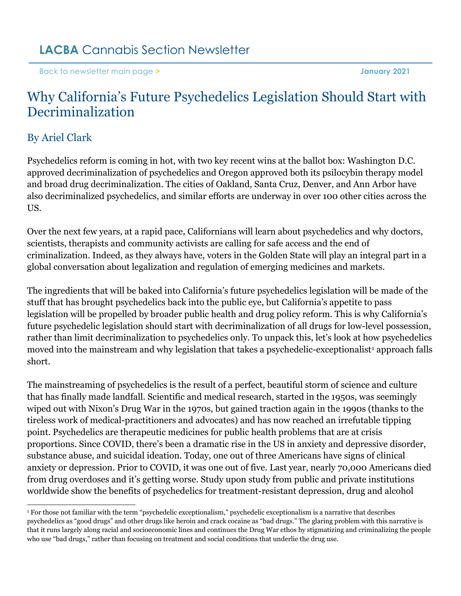[Back to newsletter main page](https://www.lacba.org/sections/cannabis-section/cannabis-section-home-page/cannabis-section-newsletters/january-2021) **> January 2021**

## Why California's Future Psychedelics Legislation Should Start with Decriminalization

## By Ariel Clark

Psychedelics reform is coming in hot, with two key recent wins at the ballot box: Washington D.C. approved decriminalization of psychedelics and Oregon approved both its psilocybin therapy model and broad drug decriminalization. The cities of Oakland, Santa Cruz, Denver, and Ann Arbor have also decriminalized psychedelics, and similar efforts are underway in over 100 other cities across the US.

Over the next few years, at a rapid pace, Californians will learn about psychedelics and why doctors, scientists, therapists and community activists are calling for safe access and the end of criminalization. Indeed, as they always have, voters in the Golden State will play an integral part in a global conversation about legalization and regulation of emerging medicines and markets.

The ingredients that will be baked into California's future psychedelics legislation will be made of the stuff that has brought psychedelics back into the public eye, but California's appetite to pass legislation will be propelled by broader public health and drug policy reform. This is why California's future psychedelic legislation should start with decriminalization of all drugs for low-level possession, rather than limit decriminalization to psychedelics only. To unpack this, let's look at how psychedelics moved into the mainstream and why legislation that takes a psychedelic-exceptionalist<sup>[1](#page-0-0)</sup> approach falls short.

The mainstreaming of psychedelics is the result of a perfect, beautiful storm of science and culture that has finally made landfall. Scientific and medical research, started in the 1950s, was seemingly wiped out with Nixon's Drug War in the 1970s, but gained traction again in the 1990s (thanks to the tireless work of medical-practitioners and advocates) and has now reached an irrefutable tipping point. Psychedelics are therapeutic medicines for public health problems that are at crisis proportions. Since COVID, there's been a dramatic rise in the US in anxiety and depressive disorder, substance abuse, and suicidal ideation. Today, one out of three Americans have signs of clinical anxiety or depression. Prior to COVID, it was one out of five. Last year, nearly 70,000 Americans died from drug overdoses and it's getting worse. Study upon study from public and private institutions worldwide show the benefits of psychedelics for treatment-resistant depression, drug and alcohol

<span id="page-0-0"></span><sup>1</sup> For those not familiar with the term "psychedelic exceptionalism," psychedelic exceptionalism is a narrative that describes psychedelics as "good drugs" and other drugs like heroin and crack cocaine as "bad drugs." The glaring problem with this narrative is that it runs largely along racial and socioeconomic lines and continues the Drug War ethos by stigmatizing and criminalizing the people who use "bad drugs," rather than focusing on treatment and social conditions that underlie the drug use.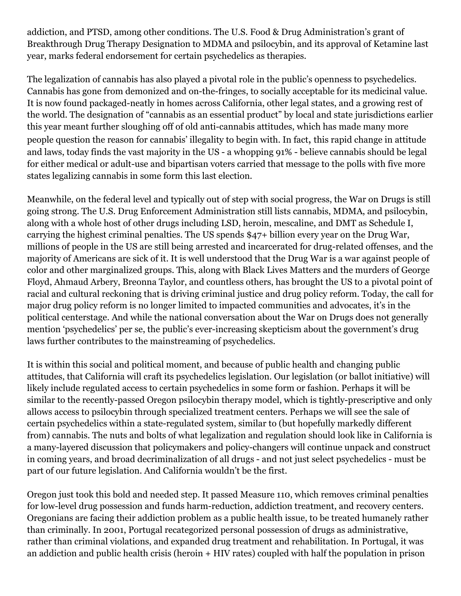addiction, and PTSD, among other conditions. The U.S. Food & Drug Administration's grant of Breakthrough Drug Therapy Designation to MDMA and psilocybin, and its approval of Ketamine last year, marks federal endorsement for certain psychedelics as therapies.

The legalization of cannabis has also played a pivotal role in the public's openness to psychedelics. Cannabis has gone from demonized and on-the-fringes, to socially acceptable for its medicinal value. It is now found packaged-neatly in homes across California, other legal states, and a growing rest of the world. The designation of "cannabis as an essential product" by local and state jurisdictions earlier this year meant further sloughing off of old anti-cannabis attitudes, which has made many more people question the reason for cannabis' illegality to begin with. In fact, this rapid change in attitude and laws, today finds the vast majority in the US - a whopping 91% - believe cannabis should be legal for either medical or adult-use and bipartisan voters carried that message to the polls with five more states legalizing cannabis in some form this last election.

Meanwhile, on the federal level and typically out of step with social progress, the War on Drugs is still going strong. The U.S. Drug Enforcement Administration still lists cannabis, MDMA, and psilocybin, along with a whole host of other drugs including LSD, heroin, mescaline, and DMT as Schedule I, carrying the highest criminal penalties. The US spends \$47+ billion every year on the Drug War, millions of people in the US are still being arrested and incarcerated for drug-related offenses, and the majority of Americans are sick of it. It is well understood that the Drug War is a war against people of color and other marginalized groups. This, along with Black Lives Matters and the murders of George Floyd, Ahmaud Arbery, Breonna Taylor, and countless others, has brought the US to a pivotal point of racial and cultural reckoning that is driving criminal justice and drug policy reform. Today, the call for major drug policy reform is no longer limited to impacted communities and advocates, it's in the political centerstage. And while the national conversation about the War on Drugs does not generally mention 'psychedelics' per se, the public's ever-increasing skepticism about the government's drug laws further contributes to the mainstreaming of psychedelics.

It is within this social and political moment, and because of public health and changing public attitudes, that California will craft its psychedelics legislation. Our legislation (or ballot initiative) will likely include regulated access to certain psychedelics in some form or fashion. Perhaps it will be similar to the recently-passed Oregon psilocybin therapy model, which is tightly-prescriptive and only allows access to psilocybin through specialized treatment centers. Perhaps we will see the sale of certain psychedelics within a state-regulated system, similar to (but hopefully markedly different from) cannabis. The nuts and bolts of what legalization and regulation should look like in California is a many-layered discussion that policymakers and policy-changers will continue unpack and construct in coming years, and broad decriminalization of all drugs - and not just select psychedelics - must be part of our future legislation. And California wouldn't be the first.

Oregon just took this bold and needed step. It passed Measure 110, which removes criminal penalties for low-level drug possession and funds harm-reduction, addiction treatment, and recovery centers. Oregonians are facing their addiction problem as a public health issue, to be treated humanely rather than criminally. In 2001, Portugal recategorized personal possession of drugs as administrative, rather than criminal violations, and expanded drug treatment and rehabilitation. In Portugal, it was an addiction and public health crisis (heroin + HIV rates) coupled with half the population in prison